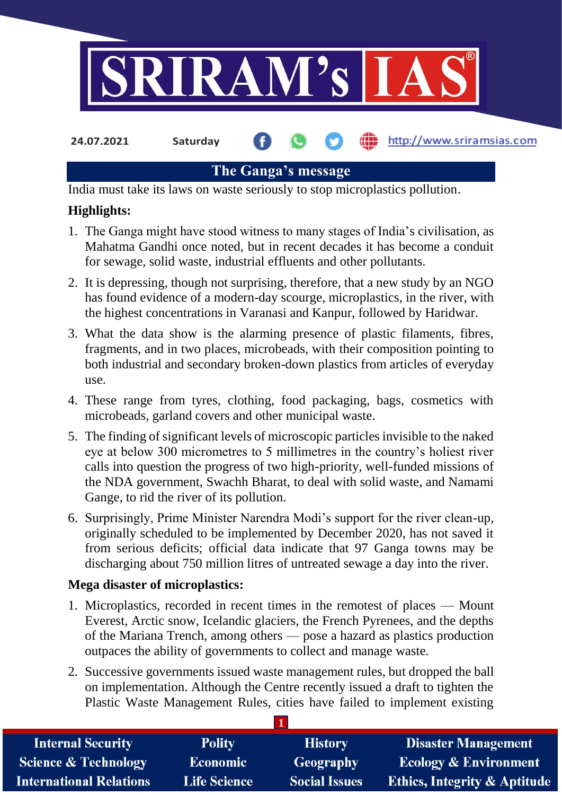

**24.07.2021 Saturday**

http://www.sriramsias.com

# **The Ganga's message**

India must take its laws on waste seriously to stop microplastics pollution.

## **Highlights:**

- 1. The Ganga might have stood witness to many stages of India's civilisation, as Mahatma Gandhi once noted, but in recent decades it has become a conduit for sewage, solid waste, industrial effluents and other pollutants.
- 2. It is depressing, though not surprising, therefore, that a new study by an NGO has found evidence of a modern-day scourge, microplastics, in the river, with the highest concentrations in Varanasi and Kanpur, followed by Haridwar.
- 3. What the data show is the alarming presence of plastic filaments, fibres, fragments, and in two places, microbeads, with their composition pointing to both industrial and secondary broken-down plastics from articles of everyday use.
- 4. These range from tyres, clothing, food packaging, bags, cosmetics with microbeads, garland covers and other municipal waste.
- 5. The finding of significant levels of microscopic particles invisible to the naked eye at below 300 micrometres to 5 millimetres in the country's holiest river calls into question the progress of two high-priority, well-funded missions of the NDA government, Swachh Bharat, to deal with solid waste, and Namami Gange, to rid the river of its pollution.
- 6. Surprisingly, Prime Minister Narendra Modi's support for the river clean-up, originally scheduled to be implemented by December 2020, has not saved it from serious deficits; official data indicate that 97 Ganga towns may be discharging about 750 million litres of untreated sewage a day into the river.

## **Mega disaster of microplastics:**

- 1. Microplastics, recorded in recent times in the remotest of places Mount Everest, Arctic snow, Icelandic glaciers, the French Pyrenees, and the depths of the Mariana Trench, among others — pose a hazard as plastics production outpaces the ability of governments to collect and manage waste.
- 2. Successive governments issued waste management rules, but dropped the ball on implementation. Although the Centre recently issued a draft to tighten the Plastic Waste Management Rules, cities have failed to implement existing

**1**

| <b>Internal Security</b>        | <b>Polity</b>       | <b>History</b>       | <b>Disaster Management</b>              |
|---------------------------------|---------------------|----------------------|-----------------------------------------|
| <b>Science &amp; Technology</b> | <b>Economic</b>     | Geography            | <b>Ecology &amp; Environment</b>        |
| <b>International Relations</b>  | <b>Life Science</b> | <b>Social Issues</b> | <b>Ethics, Integrity &amp; Aptitude</b> |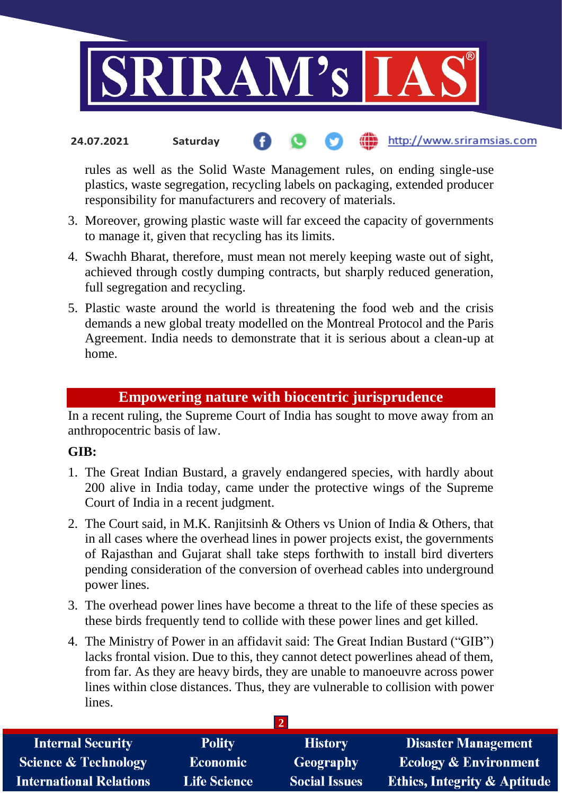

#### http://www.sriramsias.com **24.07.2021 Saturday**

rules as well as the Solid Waste Management rules, on ending single-use plastics, waste segregation, recycling labels on packaging, extended producer responsibility for manufacturers and recovery of materials.

- 3. Moreover, growing plastic waste will far exceed the capacity of governments to manage it, given that recycling has its limits.
- 4. Swachh Bharat, therefore, must mean not merely keeping waste out of sight, achieved through costly dumping contracts, but sharply reduced generation, full segregation and recycling.
- 5. Plastic waste around the world is threatening the food web and the crisis demands a new global treaty modelled on the Montreal Protocol and the Paris Agreement. India needs to demonstrate that it is serious about a clean-up at home.

## **Empowering nature with biocentric jurisprudence**

In a recent ruling, the Supreme Court of India has sought to move away from an anthropocentric basis of law.

### **GIB:**

- 1. The Great Indian Bustard, a gravely endangered species, with hardly about 200 alive in India today, came under the protective wings of the Supreme Court of India in a recent judgment.
- 2. The Court said, in M.K. Ranjitsinh & Others vs Union of India & Others, that in all cases where the overhead lines in power projects exist, the governments of Rajasthan and Gujarat shall take steps forthwith to install bird diverters pending consideration of the conversion of overhead cables into underground power lines.
- 3. The overhead power lines have become a threat to the life of these species as these birds frequently tend to collide with these power lines and get killed.
- 4. The Ministry of Power in an affidavit said: The Great Indian Bustard ("GIB") lacks frontal vision. Due to this, they cannot detect powerlines ahead of them, from far. As they are heavy birds, they are unable to manoeuvre across power lines within close distances. Thus, they are vulnerable to collision with power lines.

| <b>Internal Security</b>        | <b>Polity</b>       | <b>History</b>       | <b>Disaster Management</b>              |  |  |
|---------------------------------|---------------------|----------------------|-----------------------------------------|--|--|
| <b>Science &amp; Technology</b> | <b>Economic</b>     | Geography            | <b>Ecology &amp; Environment</b>        |  |  |
| <b>International Relations</b>  | <b>Life Science</b> | <b>Social Issues</b> | <b>Ethics, Integrity &amp; Aptitude</b> |  |  |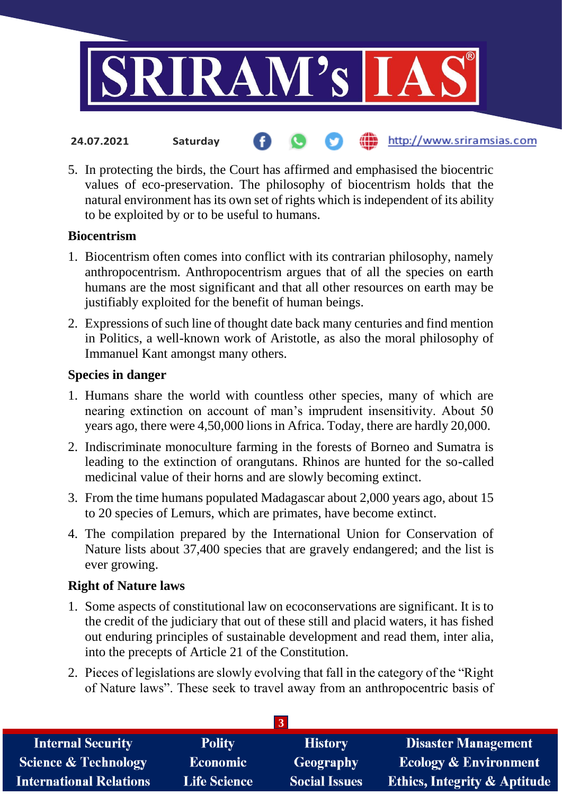

- http://www.sriramsias.com **24.07.2021 Saturday**
- 5. In protecting the birds, the Court has affirmed and emphasised the biocentric values of eco-preservation. The philosophy of biocentrism holds that the natural environment has its own set of rights which is independent of its ability to be exploited by or to be useful to humans.

## **Biocentrism**

- 1. Biocentrism often comes into conflict with its contrarian philosophy, namely anthropocentrism. Anthropocentrism argues that of all the species on earth humans are the most significant and that all other resources on earth may be justifiably exploited for the benefit of human beings.
- 2. Expressions of such line of thought date back many centuries and find mention in Politics, a well-known work of Aristotle, as also the moral philosophy of Immanuel Kant amongst many others.

### **Species in danger**

- 1. Humans share the world with countless other species, many of which are nearing extinction on account of man's imprudent insensitivity. About 50 years ago, there were 4,50,000 lions in Africa. Today, there are hardly 20,000.
- 2. Indiscriminate monoculture farming in the forests of Borneo and Sumatra is leading to the extinction of orangutans. Rhinos are hunted for the so-called medicinal value of their horns and are slowly becoming extinct.
- 3. From the time humans populated Madagascar about 2,000 years ago, about 15 to 20 species of Lemurs, which are primates, have become extinct.
- 4. The compilation prepared by the International Union for Conservation of Nature lists about 37,400 species that are gravely endangered; and the list is ever growing.

### **Right of Nature laws**

- 1. Some aspects of constitutional law on ecoconservations are significant. It is to the credit of the judiciary that out of these still and placid waters, it has fished out enduring principles of sustainable development and read them, inter alia, into the precepts of Article 21 of the Constitution.
- 2. Pieces of legislations are slowly evolving that fall in the category of the "Right of Nature laws". These seek to travel away from an anthropocentric basis of

| <b>Internal Security</b>        | <b>Polity</b>       | <b>History</b>       | <b>Disaster Management</b>              |  |  |  |
|---------------------------------|---------------------|----------------------|-----------------------------------------|--|--|--|
| <b>Science &amp; Technology</b> | <b>Economic</b>     | Geography            | <b>Ecology &amp; Environment</b>        |  |  |  |
| <b>International Relations</b>  | <b>Life Science</b> | <b>Social Issues</b> | <b>Ethics, Integrity &amp; Aptitude</b> |  |  |  |